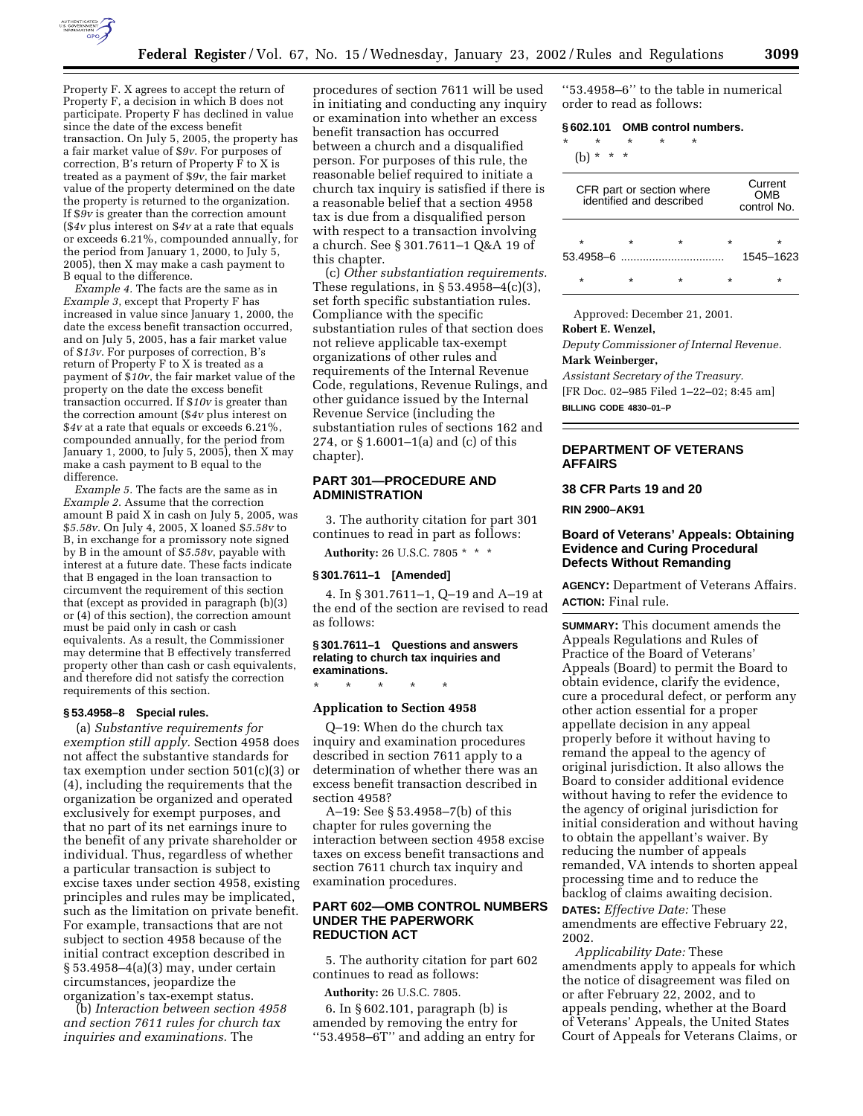

Property F. X agrees to accept the return of Property F, a decision in which B does not participate. Property F has declined in value since the date of the excess benefit transaction. On July 5, 2005, the property has a fair market value of \$*9v*. For purposes of correction, B's return of Property F to X is treated as a payment of \$*9v*, the fair market value of the property determined on the date the property is returned to the organization. If \$*9v* is greater than the correction amount (\$*4v* plus interest on \$*4v* at a rate that equals or exceeds 6.21%, compounded annually, for the period from January 1, 2000, to July 5, 2005), then X may make a cash payment to B equal to the difference.

*Example 4.* The facts are the same as in *Example 3*, except that Property F has increased in value since January 1, 2000, the date the excess benefit transaction occurred, and on July 5, 2005, has a fair market value of \$*13v*. For purposes of correction, B's return of Property F to X is treated as a payment of \$*10v*, the fair market value of the property on the date the excess benefit transaction occurred. If \$*10v* is greater than the correction amount (\$*4v* plus interest on \$*4v* at a rate that equals or exceeds 6.21%, compounded annually, for the period from January 1, 2000, to July 5, 2005), then X may make a cash payment to B equal to the difference.

*Example 5.* The facts are the same as in *Example 2*. Assume that the correction amount B paid X in cash on July 5, 2005, was \$*5.58v*. On July 4, 2005, X loaned \$*5.58v* to B, in exchange for a promissory note signed by B in the amount of \$*5.58v*, payable with interest at a future date. These facts indicate that B engaged in the loan transaction to circumvent the requirement of this section that (except as provided in paragraph (b)(3) or (4) of this section), the correction amount must be paid only in cash or cash equivalents. As a result, the Commissioner may determine that B effectively transferred property other than cash or cash equivalents, and therefore did not satisfy the correction requirements of this section.

#### **§ 53.4958–8 Special rules.**

(a) *Substantive requirements for exemption still apply.* Section 4958 does not affect the substantive standards for tax exemption under section 501(c)(3) or (4), including the requirements that the organization be organized and operated exclusively for exempt purposes, and that no part of its net earnings inure to the benefit of any private shareholder or individual. Thus, regardless of whether a particular transaction is subject to excise taxes under section 4958, existing principles and rules may be implicated, such as the limitation on private benefit. For example, transactions that are not subject to section 4958 because of the initial contract exception described in § 53.4958–4(a)(3) may, under certain circumstances, jeopardize the organization's tax-exempt status.

(b) *Interaction between section 4958 and section 7611 rules for church tax inquiries and examinations.* The

procedures of section 7611 will be used in initiating and conducting any inquiry or examination into whether an excess benefit transaction has occurred between a church and a disqualified person. For purposes of this rule, the reasonable belief required to initiate a church tax inquiry is satisfied if there is a reasonable belief that a section 4958 tax is due from a disqualified person with respect to a transaction involving a church. See § 301.7611–1 Q&A 19 of this chapter.

(c) *Other substantiation requirements.* These regulations, in  $\S 53.4958-4(c)(3)$ , set forth specific substantiation rules. Compliance with the specific substantiation rules of that section does not relieve applicable tax-exempt organizations of other rules and requirements of the Internal Revenue Code, regulations, Revenue Rulings, and other guidance issued by the Internal Revenue Service (including the substantiation rules of sections 162 and 274, or § 1.6001–1(a) and (c) of this chapter).

# **PART 301—PROCEDURE AND ADMINISTRATION**

3. The authority citation for part 301 continues to read in part as follows:

**Authority:** 26 U.S.C. 7805 \* \* \*

#### **§ 301.7611–1 [Amended]**

4. In § 301.7611–1, Q–19 and A–19 at the end of the section are revised to read as follows:

#### **§ 301.7611–1 Questions and answers relating to church tax inquiries and examinations.**

\* \* \* \* \*

#### **Application to Section 4958**

Q–19: When do the church tax inquiry and examination procedures described in section 7611 apply to a determination of whether there was an excess benefit transaction described in section 4958?

A–19: See § 53.4958–7(b) of this chapter for rules governing the interaction between section 4958 excise taxes on excess benefit transactions and section 7611 church tax inquiry and examination procedures.

# **PART 602—OMB CONTROL NUMBERS UNDER THE PAPERWORK REDUCTION ACT**

5. The authority citation for part 602 continues to read as follows:

#### **Authority:** 26 U.S.C. 7805.

6. In § 602.101, paragraph (b) is amended by removing the entry for ''53.4958–6T'' and adding an entry for

''53.4958–6'' to the table in numerical order to read as follows:

#### **§ 602.101 OMB control numbers.**

\* \* \* \* \*

(b) \* \* \*

| CFR part or section where<br>identified and described |   |         |         | Current<br><b>OMB</b><br>control No. |
|-------------------------------------------------------|---|---------|---------|--------------------------------------|
| $\star$                                               | ÷ | $\star$ | $\star$ | ÷                                    |
|                                                       |   |         |         | 1545-1623                            |
| $\star$                                               |   | ÷       | $\star$ | ÷                                    |

Approved: December 21, 2001.

# **Robert E. Wenzel,**

*Deputy Commissioner of Internal Revenue.* **Mark Weinberger,**

*Assistant Secretary of the Treasury.* [FR Doc. 02–985 Filed 1–22–02; 8:45 am] **BILLING CODE 4830–01–P**

## **DEPARTMENT OF VETERANS AFFAIRS**

#### **38 CFR Parts 19 and 20**

**RIN 2900–AK91**

# **Board of Veterans' Appeals: Obtaining Evidence and Curing Procedural Defects Without Remanding**

**AGENCY:** Department of Veterans Affairs. **ACTION:** Final rule.

**SUMMARY:** This document amends the Appeals Regulations and Rules of Practice of the Board of Veterans' Appeals (Board) to permit the Board to obtain evidence, clarify the evidence, cure a procedural defect, or perform any other action essential for a proper appellate decision in any appeal properly before it without having to remand the appeal to the agency of original jurisdiction. It also allows the Board to consider additional evidence without having to refer the evidence to the agency of original jurisdiction for initial consideration and without having to obtain the appellant's waiver. By reducing the number of appeals remanded, VA intends to shorten appeal processing time and to reduce the backlog of claims awaiting decision. **DATES:** *Effective Date:* These

amendments are effective February 22, 2002.

*Applicability Date:* These amendments apply to appeals for which the notice of disagreement was filed on or after February 22, 2002, and to appeals pending, whether at the Board of Veterans' Appeals, the United States Court of Appeals for Veterans Claims, or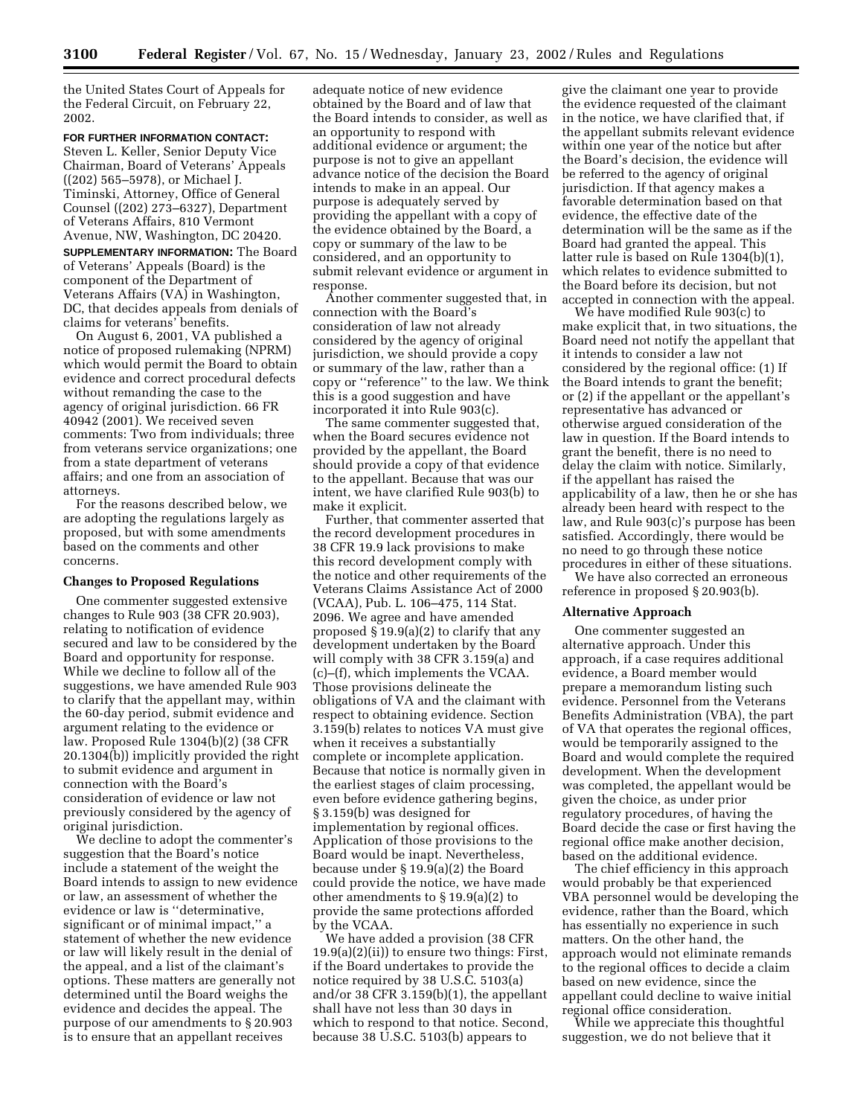the United States Court of Appeals for the Federal Circuit, on February 22, 2002.

**FOR FURTHER INFORMATION CONTACT:** Steven L. Keller, Senior Deputy Vice Chairman, Board of Veterans' Appeals ((202) 565–5978), or Michael J. Timinski, Attorney, Office of General Counsel ((202) 273–6327), Department of Veterans Affairs, 810 Vermont Avenue, NW, Washington, DC 20420.

**SUPPLEMENTARY INFORMATION:** The Board of Veterans' Appeals (Board) is the component of the Department of Veterans Affairs (VA) in Washington, DC, that decides appeals from denials of claims for veterans' benefits.

On August 6, 2001, VA published a notice of proposed rulemaking (NPRM) which would permit the Board to obtain evidence and correct procedural defects without remanding the case to the agency of original jurisdiction. 66 FR 40942 (2001). We received seven comments: Two from individuals; three from veterans service organizations; one from a state department of veterans affairs; and one from an association of attorneys.

For the reasons described below, we are adopting the regulations largely as proposed, but with some amendments based on the comments and other concerns.

#### **Changes to Proposed Regulations**

One commenter suggested extensive changes to Rule 903 (38 CFR 20.903), relating to notification of evidence secured and law to be considered by the Board and opportunity for response. While we decline to follow all of the suggestions, we have amended Rule 903 to clarify that the appellant may, within the 60-day period, submit evidence and argument relating to the evidence or law. Proposed Rule 1304(b)(2) (38 CFR 20.1304(b)) implicitly provided the right to submit evidence and argument in connection with the Board's consideration of evidence or law not previously considered by the agency of original jurisdiction.

We decline to adopt the commenter's suggestion that the Board's notice include a statement of the weight the Board intends to assign to new evidence or law, an assessment of whether the evidence or law is ''determinative, significant or of minimal impact,'' a statement of whether the new evidence or law will likely result in the denial of the appeal, and a list of the claimant's options. These matters are generally not determined until the Board weighs the evidence and decides the appeal. The purpose of our amendments to § 20.903 is to ensure that an appellant receives

adequate notice of new evidence obtained by the Board and of law that the Board intends to consider, as well as an opportunity to respond with additional evidence or argument; the purpose is not to give an appellant advance notice of the decision the Board intends to make in an appeal. Our purpose is adequately served by providing the appellant with a copy of the evidence obtained by the Board, a copy or summary of the law to be considered, and an opportunity to submit relevant evidence or argument in response.

Another commenter suggested that, in connection with the Board's consideration of law not already considered by the agency of original jurisdiction, we should provide a copy or summary of the law, rather than a copy or ''reference'' to the law. We think this is a good suggestion and have incorporated it into Rule 903(c).

The same commenter suggested that, when the Board secures evidence not provided by the appellant, the Board should provide a copy of that evidence to the appellant. Because that was our intent, we have clarified Rule 903(b) to make it explicit.

Further, that commenter asserted that the record development procedures in 38 CFR 19.9 lack provisions to make this record development comply with the notice and other requirements of the Veterans Claims Assistance Act of 2000 (VCAA), Pub. L. 106–475, 114 Stat. 2096. We agree and have amended proposed § 19.9(a)(2) to clarify that any development undertaken by the Board will comply with 38 CFR 3.159(a) and (c)–(f), which implements the VCAA. Those provisions delineate the obligations of VA and the claimant with respect to obtaining evidence. Section 3.159(b) relates to notices VA must give when it receives a substantially complete or incomplete application. Because that notice is normally given in the earliest stages of claim processing, even before evidence gathering begins, § 3.159(b) was designed for implementation by regional offices. Application of those provisions to the Board would be inapt. Nevertheless, because under § 19.9(a)(2) the Board could provide the notice, we have made other amendments to § 19.9(a)(2) to provide the same protections afforded by the VCAA.

We have added a provision (38 CFR  $19.9(a)(2)(ii)$  to ensure two things: First, if the Board undertakes to provide the notice required by 38 U.S.C. 5103(a) and/or 38 CFR 3.159(b)(1), the appellant shall have not less than 30 days in which to respond to that notice. Second, because 38 U.S.C. 5103(b) appears to

give the claimant one year to provide the evidence requested of the claimant in the notice, we have clarified that, if the appellant submits relevant evidence within one year of the notice but after the Board's decision, the evidence will be referred to the agency of original jurisdiction. If that agency makes a favorable determination based on that evidence, the effective date of the determination will be the same as if the Board had granted the appeal. This latter rule is based on Rule 1304(b)(1), which relates to evidence submitted to the Board before its decision, but not accepted in connection with the appeal.

We have modified Rule 903(c) to make explicit that, in two situations, the Board need not notify the appellant that it intends to consider a law not considered by the regional office: (1) If the Board intends to grant the benefit; or (2) if the appellant or the appellant's representative has advanced or otherwise argued consideration of the law in question. If the Board intends to grant the benefit, there is no need to delay the claim with notice. Similarly, if the appellant has raised the applicability of a law, then he or she has already been heard with respect to the law, and Rule 903(c)'s purpose has been satisfied. Accordingly, there would be no need to go through these notice procedures in either of these situations.

We have also corrected an erroneous reference in proposed § 20.903(b).

#### **Alternative Approach**

One commenter suggested an alternative approach. Under this approach, if a case requires additional evidence, a Board member would prepare a memorandum listing such evidence. Personnel from the Veterans Benefits Administration (VBA), the part of VA that operates the regional offices, would be temporarily assigned to the Board and would complete the required development. When the development was completed, the appellant would be given the choice, as under prior regulatory procedures, of having the Board decide the case or first having the regional office make another decision, based on the additional evidence.

The chief efficiency in this approach would probably be that experienced VBA personnel would be developing the evidence, rather than the Board, which has essentially no experience in such matters. On the other hand, the approach would not eliminate remands to the regional offices to decide a claim based on new evidence, since the appellant could decline to waive initial regional office consideration.

While we appreciate this thoughtful suggestion, we do not believe that it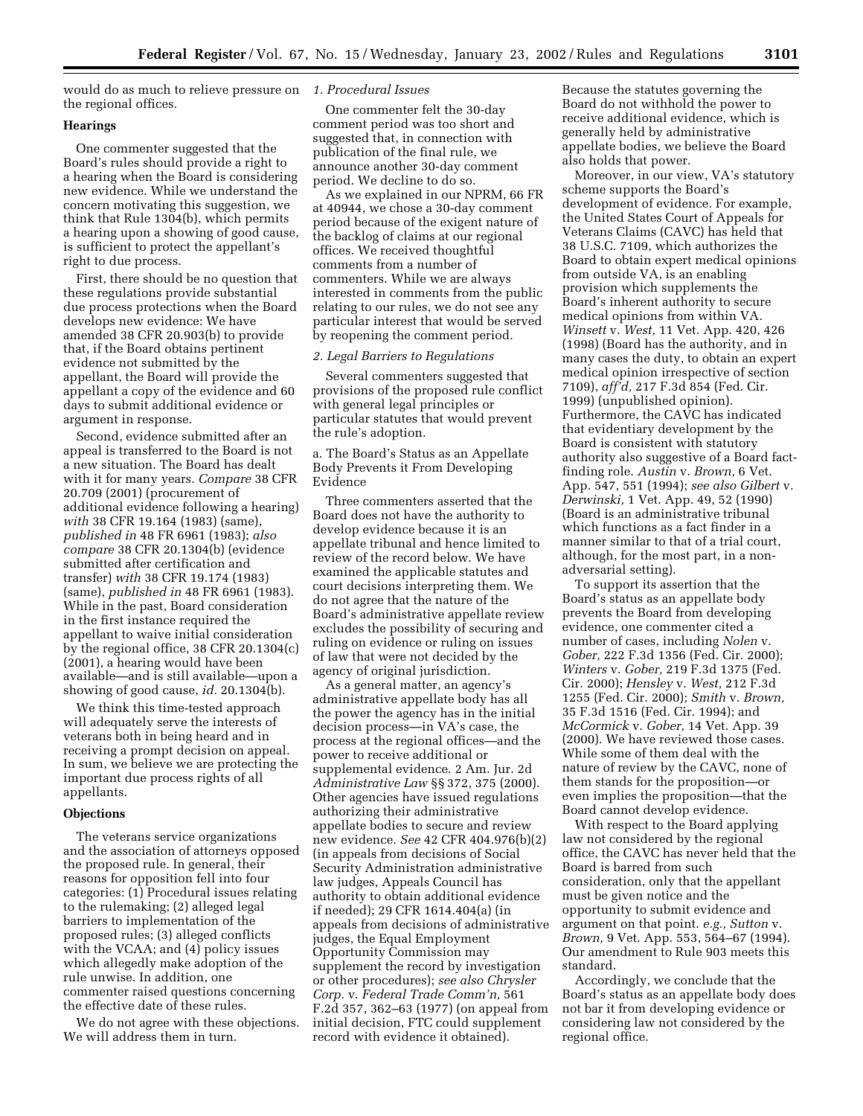would do as much to relieve pressure on *1. Procedural Issues* the regional offices.

# **Hearings**

One commenter suggested that the Board's rules should provide a right to a hearing when the Board is considering new evidence. While we understand the concern motivating this suggestion, we think that Rule 1304(b), which permits a hearing upon a showing of good cause, is sufficient to protect the appellant's right to due process.

First, there should be no question that these regulations provide substantial due process protections when the Board develops new evidence: We have amended 38 CFR 20.903(b) to provide that, if the Board obtains pertinent evidence not submitted by the appellant, the Board will provide the appellant a copy of the evidence and 60 days to submit additional evidence or argument in response.

Second, evidence submitted after an appeal is transferred to the Board is not a new situation. The Board has dealt with it for many years. *Compare* 38 CFR 20.709 (2001) (procurement of additional evidence following a hearing) *with* 38 CFR 19.164 (1983) (same), *published in* 48 FR 6961 (1983); *also compare* 38 CFR 20.1304(b) (evidence submitted after certification and transfer) *with* 38 CFR 19.174 (1983) (same), *published in* 48 FR 6961 (1983). While in the past, Board consideration in the first instance required the appellant to waive initial consideration by the regional office, 38 CFR 20.1304(c) (2001), a hearing would have been available—and is still available—upon a showing of good cause, *id.* 20.1304(b).

We think this time-tested approach will adequately serve the interests of veterans both in being heard and in receiving a prompt decision on appeal. In sum, we believe we are protecting the important due process rights of all appellants.

## **Objections**

The veterans service organizations and the association of attorneys opposed the proposed rule. In general, their reasons for opposition fell into four categories: (1) Procedural issues relating to the rulemaking; (2) alleged legal barriers to implementation of the proposed rules; (3) alleged conflicts with the VCAA; and (4) policy issues which allegedly make adoption of the rule unwise. In addition, one commenter raised questions concerning the effective date of these rules.

We do not agree with these objections. We will address them in turn.

One commenter felt the 30-day comment period was too short and suggested that, in connection with publication of the final rule, we announce another 30-day comment period. We decline to do so.

As we explained in our NPRM, 66 FR at 40944, we chose a 30-day comment period because of the exigent nature of the backlog of claims at our regional offices. We received thoughtful comments from a number of commenters. While we are always interested in comments from the public relating to our rules, we do not see any particular interest that would be served by reopening the comment period.

## *2. Legal Barriers to Regulations*

Several commenters suggested that provisions of the proposed rule conflict with general legal principles or particular statutes that would prevent the rule's adoption.

a. The Board's Status as an Appellate Body Prevents it From Developing Evidence

Three commenters asserted that the Board does not have the authority to develop evidence because it is an appellate tribunal and hence limited to review of the record below. We have examined the applicable statutes and court decisions interpreting them. We do not agree that the nature of the Board's administrative appellate review excludes the possibility of securing and ruling on evidence or ruling on issues of law that were not decided by the agency of original jurisdiction.

As a general matter, an agency's administrative appellate body has all the power the agency has in the initial decision process—in VA's case, the process at the regional offices—and the power to receive additional or supplemental evidence. 2 Am. Jur. 2d *Administrative Law* §§ 372, 375 (2000). Other agencies have issued regulations authorizing their administrative appellate bodies to secure and review new evidence. *See* 42 CFR 404.976(b)(2) (in appeals from decisions of Social Security Administration administrative law judges, Appeals Council has authority to obtain additional evidence if needed); 29 CFR 1614.404(a) (in appeals from decisions of administrative judges, the Equal Employment Opportunity Commission may supplement the record by investigation or other procedures); *see also Chrysler Corp.* v. *Federal Trade Comm'n,* 561 F.2d 357, 362–63 (1977) (on appeal from initial decision, FTC could supplement record with evidence it obtained).

Because the statutes governing the Board do not withhold the power to receive additional evidence, which is generally held by administrative appellate bodies, we believe the Board also holds that power.

Moreover, in our view, VA's statutory scheme supports the Board's development of evidence. For example, the United States Court of Appeals for Veterans Claims (CAVC) has held that 38 U.S.C. 7109, which authorizes the Board to obtain expert medical opinions from outside VA, is an enabling provision which supplements the Board's inherent authority to secure medical opinions from within VA. *Winsett* v. *West,* 11 Vet. App. 420, 426 (1998) (Board has the authority, and in many cases the duty, to obtain an expert medical opinion irrespective of section 7109), *aff'd,* 217 F.3d 854 (Fed. Cir. 1999) (unpublished opinion). Furthermore, the CAVC has indicated that evidentiary development by the Board is consistent with statutory authority also suggestive of a Board factfinding role. *Austin* v. *Brown,* 6 Vet. App. 547, 551 (1994); *see also Gilbert* v. *Derwinski,* 1 Vet. App. 49, 52 (1990) (Board is an administrative tribunal which functions as a fact finder in a manner similar to that of a trial court, although, for the most part, in a nonadversarial setting).

To support its assertion that the Board's status as an appellate body prevents the Board from developing evidence, one commenter cited a number of cases, including *Nolen* v. *Gober,* 222 F.3d 1356 (Fed. Cir. 2000); *Winters* v. *Gober,* 219 F.3d 1375 (Fed. Cir. 2000); *Hensley* v. *West,* 212 F.3d 1255 (Fed. Cir. 2000); *Smith* v. *Brown,* 35 F.3d 1516 (Fed. Cir. 1994); and *McCormick* v. *Gober,* 14 Vet. App. 39 (2000). We have reviewed those cases. While some of them deal with the nature of review by the CAVC, none of them stands for the proposition—or even implies the proposition—that the Board cannot develop evidence.

With respect to the Board applying law not considered by the regional office, the CAVC has never held that the Board is barred from such consideration, only that the appellant must be given notice and the opportunity to submit evidence and argument on that point. *e.g., Sutton* v. *Brown,* 9 Vet. App. 553, 564–67 (1994). Our amendment to Rule 903 meets this standard.

Accordingly, we conclude that the Board's status as an appellate body does not bar it from developing evidence or considering law not considered by the regional office.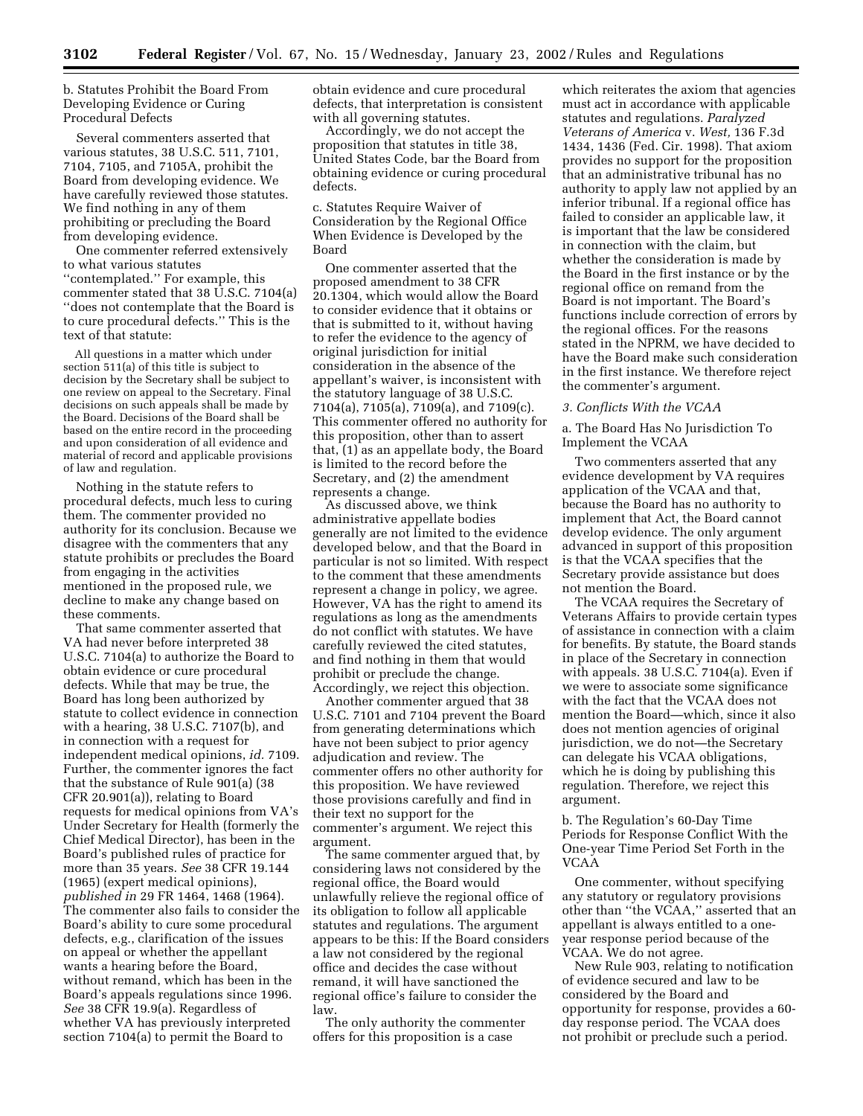b. Statutes Prohibit the Board From Developing Evidence or Curing Procedural Defects

Several commenters asserted that various statutes, 38 U.S.C. 511, 7101, 7104, 7105, and 7105A, prohibit the Board from developing evidence. We have carefully reviewed those statutes. We find nothing in any of them prohibiting or precluding the Board from developing evidence.

One commenter referred extensively to what various statutes ''contemplated.'' For example, this commenter stated that 38 U.S.C. 7104(a) ''does not contemplate that the Board is to cure procedural defects.'' This is the text of that statute:

All questions in a matter which under section 511(a) of this title is subject to decision by the Secretary shall be subject to one review on appeal to the Secretary. Final decisions on such appeals shall be made by the Board. Decisions of the Board shall be based on the entire record in the proceeding and upon consideration of all evidence and material of record and applicable provisions of law and regulation.

Nothing in the statute refers to procedural defects, much less to curing them. The commenter provided no authority for its conclusion. Because we disagree with the commenters that any statute prohibits or precludes the Board from engaging in the activities mentioned in the proposed rule, we decline to make any change based on these comments.

That same commenter asserted that VA had never before interpreted 38 U.S.C. 7104(a) to authorize the Board to obtain evidence or cure procedural defects. While that may be true, the Board has long been authorized by statute to collect evidence in connection with a hearing, 38 U.S.C. 7107(b), and in connection with a request for independent medical opinions, *id.* 7109. Further, the commenter ignores the fact that the substance of Rule 901(a) (38 CFR 20.901(a)), relating to Board requests for medical opinions from VA's Under Secretary for Health (formerly the Chief Medical Director), has been in the Board's published rules of practice for more than 35 years. *See* 38 CFR 19.144 (1965) (expert medical opinions), *published in* 29 FR 1464, 1468 (1964). The commenter also fails to consider the Board's ability to cure some procedural defects, e.g., clarification of the issues on appeal or whether the appellant wants a hearing before the Board, without remand, which has been in the Board's appeals regulations since 1996. *See* 38 CFR 19.9(a). Regardless of whether VA has previously interpreted section 7104(a) to permit the Board to

obtain evidence and cure procedural defects, that interpretation is consistent with all governing statutes.

Accordingly, we do not accept the proposition that statutes in title 38, United States Code, bar the Board from obtaining evidence or curing procedural defects.

c. Statutes Require Waiver of Consideration by the Regional Office When Evidence is Developed by the Board

One commenter asserted that the proposed amendment to 38 CFR 20.1304, which would allow the Board to consider evidence that it obtains or that is submitted to it, without having to refer the evidence to the agency of original jurisdiction for initial consideration in the absence of the appellant's waiver, is inconsistent with the statutory language of 38 U.S.C. 7104(a), 7105(a), 7109(a), and 7109(c). This commenter offered no authority for this proposition, other than to assert that, (1) as an appellate body, the Board is limited to the record before the Secretary, and (2) the amendment represents a change.

As discussed above, we think administrative appellate bodies generally are not limited to the evidence developed below, and that the Board in particular is not so limited. With respect to the comment that these amendments represent a change in policy, we agree. However, VA has the right to amend its regulations as long as the amendments do not conflict with statutes. We have carefully reviewed the cited statutes, and find nothing in them that would prohibit or preclude the change. Accordingly, we reject this objection.

Another commenter argued that 38 U.S.C. 7101 and 7104 prevent the Board from generating determinations which have not been subject to prior agency adjudication and review. The commenter offers no other authority for this proposition. We have reviewed those provisions carefully and find in their text no support for the commenter's argument. We reject this argument.

The same commenter argued that, by considering laws not considered by the regional office, the Board would unlawfully relieve the regional office of its obligation to follow all applicable statutes and regulations. The argument appears to be this: If the Board considers a law not considered by the regional office and decides the case without remand, it will have sanctioned the regional office's failure to consider the law.

The only authority the commenter offers for this proposition is a case

which reiterates the axiom that agencies must act in accordance with applicable statutes and regulations. *Paralyzed Veterans of America* v. *West,* 136 F.3d 1434, 1436 (Fed. Cir. 1998). That axiom provides no support for the proposition that an administrative tribunal has no authority to apply law not applied by an inferior tribunal. If a regional office has failed to consider an applicable law, it is important that the law be considered in connection with the claim, but whether the consideration is made by the Board in the first instance or by the regional office on remand from the Board is not important. The Board's functions include correction of errors by the regional offices. For the reasons stated in the NPRM, we have decided to have the Board make such consideration in the first instance. We therefore reject the commenter's argument.

#### *3. Conflicts With the VCAA*

a. The Board Has No Jurisdiction To Implement the VCAA

Two commenters asserted that any evidence development by VA requires application of the VCAA and that, because the Board has no authority to implement that Act, the Board cannot develop evidence. The only argument advanced in support of this proposition is that the VCAA specifies that the Secretary provide assistance but does not mention the Board.

The VCAA requires the Secretary of Veterans Affairs to provide certain types of assistance in connection with a claim for benefits. By statute, the Board stands in place of the Secretary in connection with appeals. 38 U.S.C. 7104(a). Even if we were to associate some significance with the fact that the VCAA does not mention the Board—which, since it also does not mention agencies of original jurisdiction, we do not—the Secretary can delegate his VCAA obligations, which he is doing by publishing this regulation. Therefore, we reject this argument.

b. The Regulation's 60-Day Time Periods for Response Conflict With the One-year Time Period Set Forth in the VCAA

One commenter, without specifying any statutory or regulatory provisions other than ''the VCAA,'' asserted that an appellant is always entitled to a oneyear response period because of the VCAA. We do not agree.

New Rule 903, relating to notification of evidence secured and law to be considered by the Board and opportunity for response, provides a 60 day response period. The VCAA does not prohibit or preclude such a period.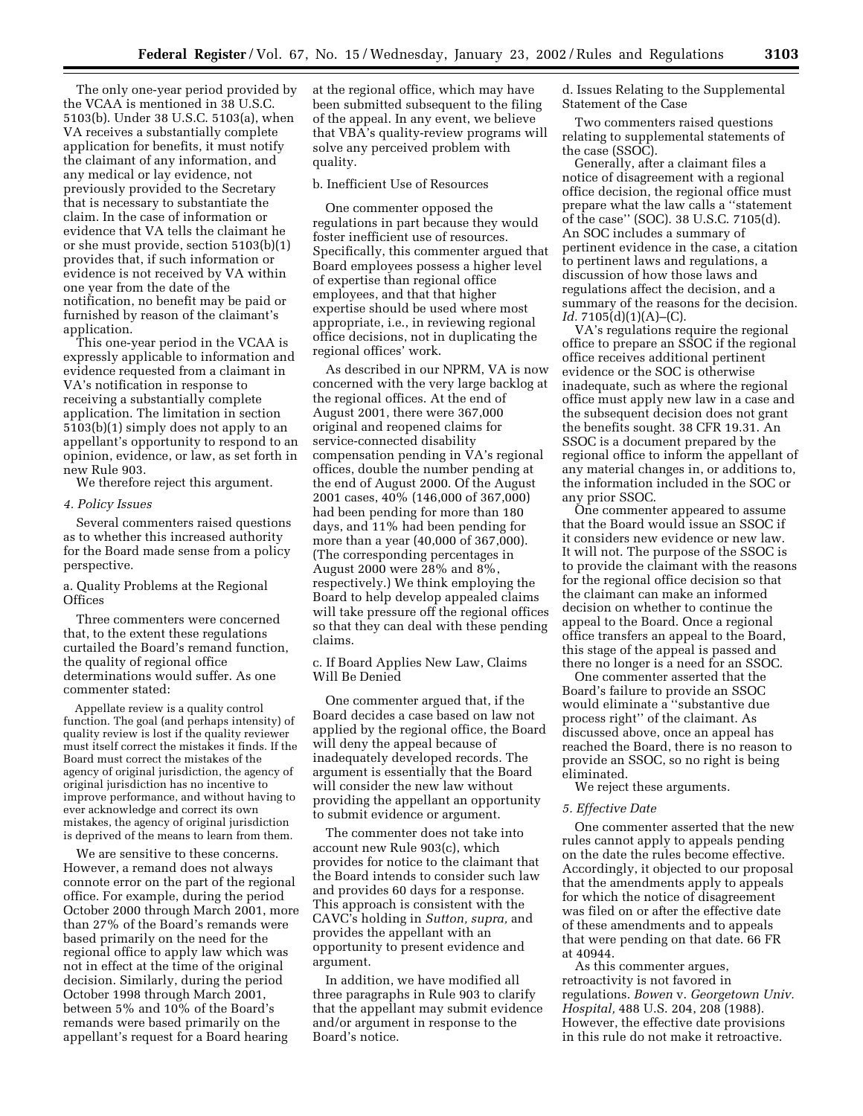The only one-year period provided by the VCAA is mentioned in 38 U.S.C. 5103(b). Under 38 U.S.C. 5103(a), when VA receives a substantially complete application for benefits, it must notify the claimant of any information, and any medical or lay evidence, not previously provided to the Secretary that is necessary to substantiate the claim. In the case of information or evidence that VA tells the claimant he or she must provide, section 5103(b)(1) provides that, if such information or evidence is not received by VA within one year from the date of the notification, no benefit may be paid or furnished by reason of the claimant's application.

This one-year period in the VCAA is expressly applicable to information and evidence requested from a claimant in VA's notification in response to receiving a substantially complete application. The limitation in section 5103(b)(1) simply does not apply to an appellant's opportunity to respond to an opinion, evidence, or law, as set forth in new Rule 903.

We therefore reject this argument.

#### *4. Policy Issues*

Several commenters raised questions as to whether this increased authority for the Board made sense from a policy perspective.

a. Quality Problems at the Regional **Offices** 

Three commenters were concerned that, to the extent these regulations curtailed the Board's remand function, the quality of regional office determinations would suffer. As one commenter stated:

Appellate review is a quality control function. The goal (and perhaps intensity) of quality review is lost if the quality reviewer must itself correct the mistakes it finds. If the Board must correct the mistakes of the agency of original jurisdiction, the agency of original jurisdiction has no incentive to improve performance, and without having to ever acknowledge and correct its own mistakes, the agency of original jurisdiction is deprived of the means to learn from them.

We are sensitive to these concerns. However, a remand does not always connote error on the part of the regional office. For example, during the period October 2000 through March 2001, more than 27% of the Board's remands were based primarily on the need for the regional office to apply law which was not in effect at the time of the original decision. Similarly, during the period October 1998 through March 2001, between 5% and 10% of the Board's remands were based primarily on the appellant's request for a Board hearing

at the regional office, which may have been submitted subsequent to the filing of the appeal. In any event, we believe that VBA's quality-review programs will solve any perceived problem with quality.

## b. Inefficient Use of Resources

One commenter opposed the regulations in part because they would foster inefficient use of resources. Specifically, this commenter argued that Board employees possess a higher level of expertise than regional office employees, and that that higher expertise should be used where most appropriate, i.e., in reviewing regional office decisions, not in duplicating the regional offices' work.

As described in our NPRM, VA is now concerned with the very large backlog at the regional offices. At the end of August 2001, there were 367,000 original and reopened claims for service-connected disability compensation pending in VA's regional offices, double the number pending at the end of August 2000. Of the August 2001 cases, 40% (146,000 of 367,000) had been pending for more than 180 days, and 11% had been pending for more than a year (40,000 of 367,000). (The corresponding percentages in August 2000 were 28% and 8%, respectively.) We think employing the Board to help develop appealed claims will take pressure off the regional offices so that they can deal with these pending claims.

c. If Board Applies New Law, Claims Will Be Denied

One commenter argued that, if the Board decides a case based on law not applied by the regional office, the Board will deny the appeal because of inadequately developed records. The argument is essentially that the Board will consider the new law without providing the appellant an opportunity to submit evidence or argument.

The commenter does not take into account new Rule 903(c), which provides for notice to the claimant that the Board intends to consider such law and provides 60 days for a response. This approach is consistent with the CAVC's holding in *Sutton, supra,* and provides the appellant with an opportunity to present evidence and argument.

In addition, we have modified all three paragraphs in Rule 903 to clarify that the appellant may submit evidence and/or argument in response to the Board's notice.

d. Issues Relating to the Supplemental Statement of the Case

Two commenters raised questions relating to supplemental statements of the case (SSOC).

Generally, after a claimant files a notice of disagreement with a regional office decision, the regional office must prepare what the law calls a ''statement of the case'' (SOC). 38 U.S.C. 7105(d). An SOC includes a summary of pertinent evidence in the case, a citation to pertinent laws and regulations, a discussion of how those laws and regulations affect the decision, and a summary of the reasons for the decision. *Id.* 7105(d)(1)(A)–(C).

VA's regulations require the regional office to prepare an SSOC if the regional office receives additional pertinent evidence or the SOC is otherwise inadequate, such as where the regional office must apply new law in a case and the subsequent decision does not grant the benefits sought. 38 CFR 19.31. An SSOC is a document prepared by the regional office to inform the appellant of any material changes in, or additions to, the information included in the SOC or any prior SSOC.

One commenter appeared to assume that the Board would issue an SSOC if it considers new evidence or new law. It will not. The purpose of the SSOC is to provide the claimant with the reasons for the regional office decision so that the claimant can make an informed decision on whether to continue the appeal to the Board. Once a regional office transfers an appeal to the Board, this stage of the appeal is passed and there no longer is a need for an SSOC.

One commenter asserted that the Board's failure to provide an SSOC would eliminate a ''substantive due process right'' of the claimant. As discussed above, once an appeal has reached the Board, there is no reason to provide an SSOC, so no right is being eliminated.

We reject these arguments.

#### *5. Effective Date*

One commenter asserted that the new rules cannot apply to appeals pending on the date the rules become effective. Accordingly, it objected to our proposal that the amendments apply to appeals for which the notice of disagreement was filed on or after the effective date of these amendments and to appeals that were pending on that date. 66 FR at 40944.

As this commenter argues, retroactivity is not favored in regulations. *Bowen* v. *Georgetown Univ. Hospital,* 488 U.S. 204, 208 (1988). However, the effective date provisions in this rule do not make it retroactive.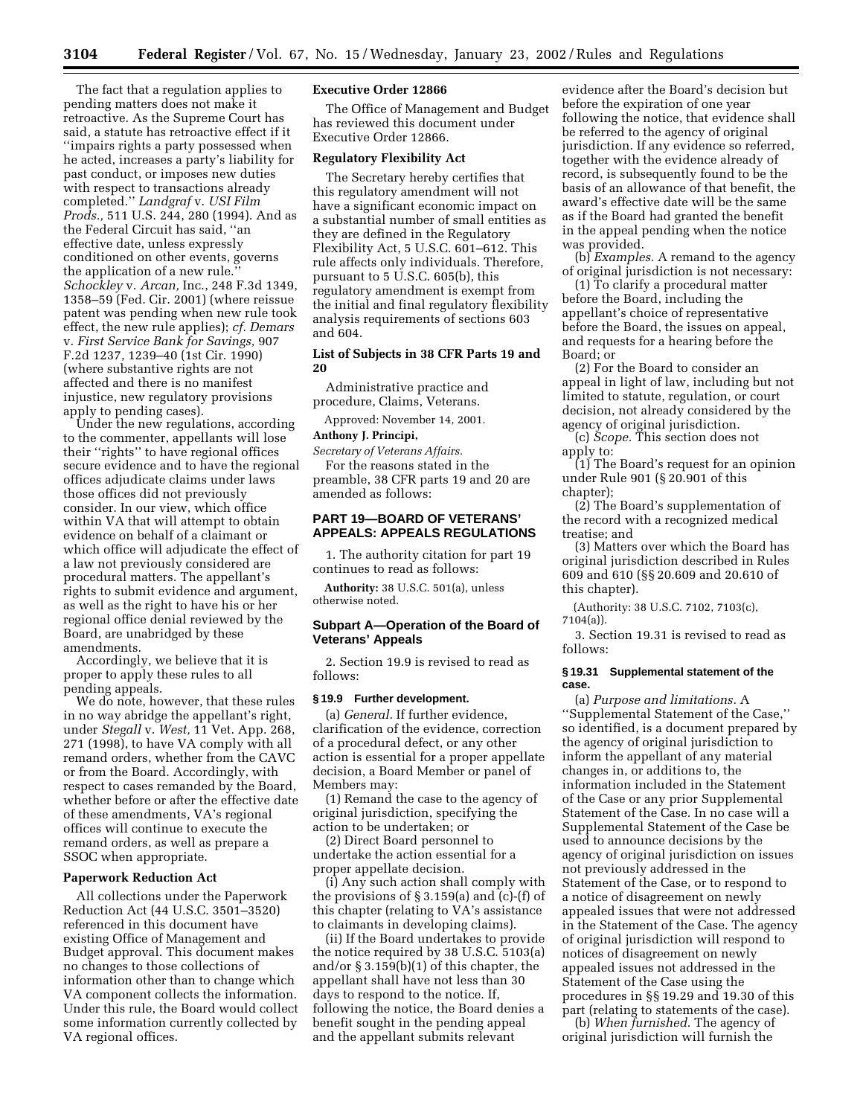The fact that a regulation applies to pending matters does not make it retroactive. As the Supreme Court has said, a statute has retroactive effect if it ''impairs rights a party possessed when he acted, increases a party's liability for past conduct, or imposes new duties with respect to transactions already completed.'' *Landgraf* v. *USI Film Prods.,* 511 U.S. 244, 280 (1994). And as the Federal Circuit has said, ''an effective date, unless expressly conditioned on other events, governs the application of a new rule.'' *Schockley* v. *Arcan,* Inc., 248 F.3d 1349, 1358–59 (Fed. Cir. 2001) (where reissue patent was pending when new rule took effect, the new rule applies); *cf. Demars* v. *First Service Bank for Savings,* 907 F.2d 1237, 1239–40 (1st Cir. 1990) (where substantive rights are not affected and there is no manifest injustice, new regulatory provisions apply to pending cases).

Under the new regulations, according to the commenter, appellants will lose their ''rights'' to have regional offices secure evidence and to have the regional offices adjudicate claims under laws those offices did not previously consider. In our view, which office within VA that will attempt to obtain evidence on behalf of a claimant or which office will adjudicate the effect of a law not previously considered are procedural matters. The appellant's rights to submit evidence and argument, as well as the right to have his or her regional office denial reviewed by the Board, are unabridged by these amendments.

Accordingly, we believe that it is proper to apply these rules to all pending appeals.

We do note, however, that these rules in no way abridge the appellant's right, under *Stegall* v. *West,* 11 Vet. App. 268, 271 (1998), to have VA comply with all remand orders, whether from the CAVC or from the Board. Accordingly, with respect to cases remanded by the Board, whether before or after the effective date of these amendments, VA's regional offices will continue to execute the remand orders, as well as prepare a SSOC when appropriate.

#### **Paperwork Reduction Act**

All collections under the Paperwork Reduction Act (44 U.S.C. 3501–3520) referenced in this document have existing Office of Management and Budget approval. This document makes no changes to those collections of information other than to change which VA component collects the information. Under this rule, the Board would collect some information currently collected by VA regional offices.

## **Executive Order 12866**

The Office of Management and Budget has reviewed this document under Executive Order 12866.

#### **Regulatory Flexibility Act**

The Secretary hereby certifies that this regulatory amendment will not have a significant economic impact on a substantial number of small entities as they are defined in the Regulatory Flexibility Act, 5 U.S.C. 601–612. This rule affects only individuals. Therefore, pursuant to 5 U.S.C. 605(b), this regulatory amendment is exempt from the initial and final regulatory flexibility analysis requirements of sections 603 and 604.

## **List of Subjects in 38 CFR Parts 19 and 20**

Administrative practice and procedure, Claims, Veterans.

Approved: November 14, 2001.

## **Anthony J. Principi,**

*Secretary of Veterans Affairs.*

For the reasons stated in the preamble, 38 CFR parts 19 and 20 are amended as follows:

# **PART 19—BOARD OF VETERANS' APPEALS: APPEALS REGULATIONS**

1. The authority citation for part 19 continues to read as follows:

**Authority:** 38 U.S.C. 501(a), unless otherwise noted.

# **Subpart A—Operation of the Board of Veterans' Appeals**

2. Section 19.9 is revised to read as follows:

# **§ 19.9 Further development.**

(a) *General.* If further evidence, clarification of the evidence, correction of a procedural defect, or any other action is essential for a proper appellate decision, a Board Member or panel of Members may:

(1) Remand the case to the agency of original jurisdiction, specifying the action to be undertaken; or

(2) Direct Board personnel to undertake the action essential for a proper appellate decision.

(i) Any such action shall comply with the provisions of  $\S 3.159(a)$  and (c)-(f) of this chapter (relating to VA's assistance to claimants in developing claims).

(ii) If the Board undertakes to provide the notice required by 38 U.S.C. 5103(a) and/or § 3.159(b)(1) of this chapter, the appellant shall have not less than 30 days to respond to the notice. If, following the notice, the Board denies a benefit sought in the pending appeal and the appellant submits relevant

evidence after the Board's decision but before the expiration of one year following the notice, that evidence shall be referred to the agency of original jurisdiction. If any evidence so referred, together with the evidence already of record, is subsequently found to be the basis of an allowance of that benefit, the award's effective date will be the same as if the Board had granted the benefit in the appeal pending when the notice was provided.

(b) *Examples.* A remand to the agency of original jurisdiction is not necessary:

(1) To clarify a procedural matter before the Board, including the appellant's choice of representative before the Board, the issues on appeal, and requests for a hearing before the Board; or

(2) For the Board to consider an appeal in light of law, including but not limited to statute, regulation, or court decision, not already considered by the agency of original jurisdiction.

(c) *Scope.* This section does not apply to:

(1) The Board's request for an opinion under Rule 901 (§ 20.901 of this chapter);

(2) The Board's supplementation of the record with a recognized medical treatise; and

(3) Matters over which the Board has original jurisdiction described in Rules 609 and 610 (§§ 20.609 and 20.610 of this chapter).

(Authority: 38 U.S.C. 7102, 7103(c), 7104(a)).

3. Section 19.31 is revised to read as follows:

#### **§ 19.31 Supplemental statement of the case.**

(a) *Purpose and limitations.* A ''Supplemental Statement of the Case,'' so identified, is a document prepared by the agency of original jurisdiction to inform the appellant of any material changes in, or additions to, the information included in the Statement of the Case or any prior Supplemental Statement of the Case. In no case will a Supplemental Statement of the Case be used to announce decisions by the agency of original jurisdiction on issues not previously addressed in the Statement of the Case, or to respond to a notice of disagreement on newly appealed issues that were not addressed in the Statement of the Case. The agency of original jurisdiction will respond to notices of disagreement on newly appealed issues not addressed in the Statement of the Case using the procedures in §§ 19.29 and 19.30 of this part (relating to statements of the case).

(b) *When furnished.* The agency of original jurisdiction will furnish the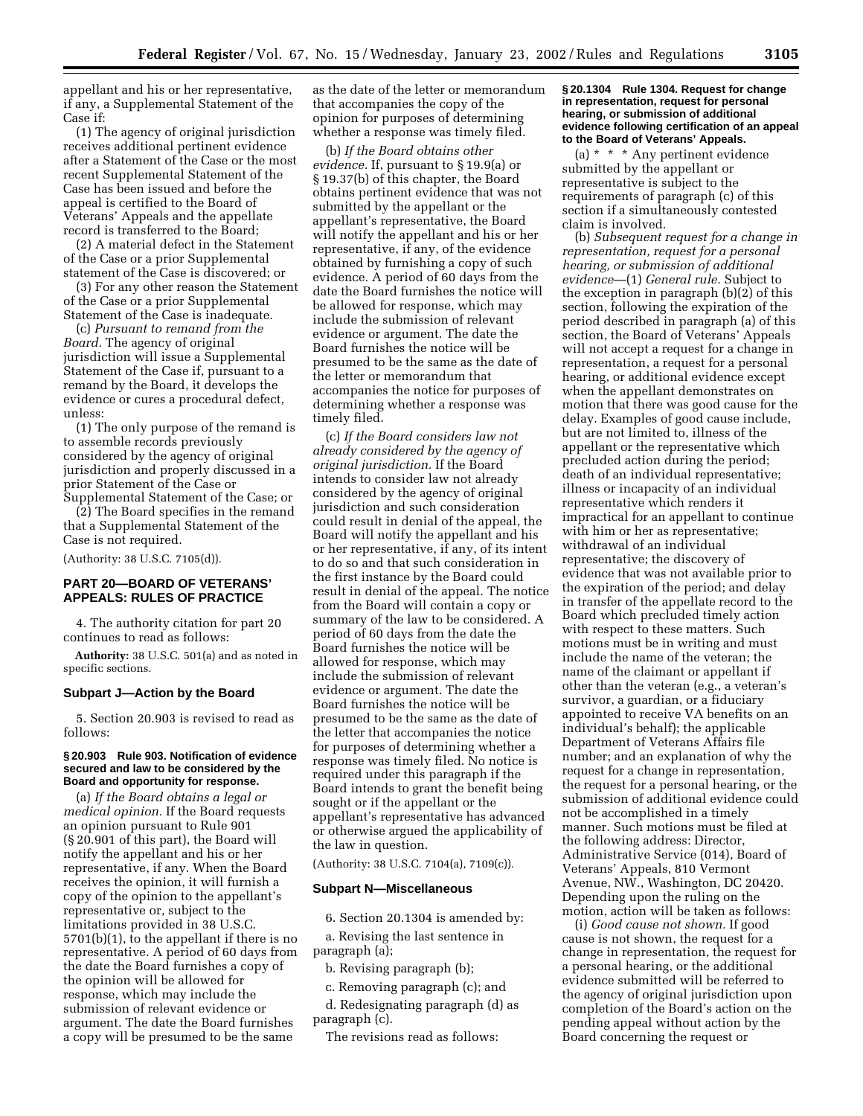appellant and his or her representative, if any, a Supplemental Statement of the Case if:

(1) The agency of original jurisdiction receives additional pertinent evidence after a Statement of the Case or the most recent Supplemental Statement of the Case has been issued and before the appeal is certified to the Board of Veterans' Appeals and the appellate record is transferred to the Board;

(2) A material defect in the Statement of the Case or a prior Supplemental statement of the Case is discovered; or

(3) For any other reason the Statement of the Case or a prior Supplemental Statement of the Case is inadequate.

(c) *Pursuant to remand from the Board.* The agency of original jurisdiction will issue a Supplemental Statement of the Case if, pursuant to a remand by the Board, it develops the evidence or cures a procedural defect, unless:

(1) The only purpose of the remand is to assemble records previously considered by the agency of original jurisdiction and properly discussed in a prior Statement of the Case or Supplemental Statement of the Case; or

(2) The Board specifies in the remand that a Supplemental Statement of the Case is not required.

(Authority: 38 U.S.C. 7105(d)).

# **PART 20—BOARD OF VETERANS' APPEALS: RULES OF PRACTICE**

4. The authority citation for part 20 continues to read as follows:

**Authority:** 38 U.S.C. 501(a) and as noted in specific sections.

# **Subpart J—Action by the Board**

5. Section 20.903 is revised to read as follows:

#### **§ 20.903 Rule 903. Notification of evidence secured and law to be considered by the Board and opportunity for response.**

(a) *If the Board obtains a legal or medical opinion.* If the Board requests an opinion pursuant to Rule 901 (§ 20.901 of this part), the Board will notify the appellant and his or her representative, if any. When the Board receives the opinion, it will furnish a copy of the opinion to the appellant's representative or, subject to the limitations provided in 38 U.S.C. 5701(b)(1), to the appellant if there is no representative. A period of 60 days from the date the Board furnishes a copy of the opinion will be allowed for response, which may include the submission of relevant evidence or argument. The date the Board furnishes a copy will be presumed to be the same

as the date of the letter or memorandum that accompanies the copy of the opinion for purposes of determining whether a response was timely filed.

(b) *If the Board obtains other evidence.* If, pursuant to § 19.9(a) or § 19.37(b) of this chapter, the Board obtains pertinent evidence that was not submitted by the appellant or the appellant's representative, the Board will notify the appellant and his or her representative, if any, of the evidence obtained by furnishing a copy of such evidence. A period of 60 days from the date the Board furnishes the notice will be allowed for response, which may include the submission of relevant evidence or argument. The date the Board furnishes the notice will be presumed to be the same as the date of the letter or memorandum that accompanies the notice for purposes of determining whether a response was timely filed.

(c) *If the Board considers law not already considered by the agency of original jurisdiction.* If the Board intends to consider law not already considered by the agency of original jurisdiction and such consideration could result in denial of the appeal, the Board will notify the appellant and his or her representative, if any, of its intent to do so and that such consideration in the first instance by the Board could result in denial of the appeal. The notice from the Board will contain a copy or summary of the law to be considered. A period of 60 days from the date the Board furnishes the notice will be allowed for response, which may include the submission of relevant evidence or argument. The date the Board furnishes the notice will be presumed to be the same as the date of the letter that accompanies the notice for purposes of determining whether a response was timely filed. No notice is required under this paragraph if the Board intends to grant the benefit being sought or if the appellant or the appellant's representative has advanced or otherwise argued the applicability of the law in question.

(Authority: 38 U.S.C. 7104(a), 7109(c)).

#### **Subpart N—Miscellaneous**

6. Section 20.1304 is amended by:

a. Revising the last sentence in paragraph (a);

b. Revising paragraph (b);

c. Removing paragraph (c); and

d. Redesignating paragraph (d) as paragraph (c).

The revisions read as follows:

#### **§ 20.1304 Rule 1304. Request for change in representation, request for personal hearing, or submission of additional evidence following certification of an appeal to the Board of Veterans' Appeals.**

(a) \* \* \* Any pertinent evidence submitted by the appellant or representative is subject to the requirements of paragraph (c) of this section if a simultaneously contested claim is involved.

(b) *Subsequent request for a change in representation, request for a personal hearing, or submission of additional evidence*—(1) *General rule.* Subject to the exception in paragraph (b)(2) of this section, following the expiration of the period described in paragraph (a) of this section, the Board of Veterans' Appeals will not accept a request for a change in representation, a request for a personal hearing, or additional evidence except when the appellant demonstrates on motion that there was good cause for the delay. Examples of good cause include, but are not limited to, illness of the appellant or the representative which precluded action during the period; death of an individual representative; illness or incapacity of an individual representative which renders it impractical for an appellant to continue with him or her as representative; withdrawal of an individual representative; the discovery of evidence that was not available prior to the expiration of the period; and delay in transfer of the appellate record to the Board which precluded timely action with respect to these matters. Such motions must be in writing and must include the name of the veteran; the name of the claimant or appellant if other than the veteran (e.g., a veteran's survivor, a guardian, or a fiduciary appointed to receive VA benefits on an individual's behalf); the applicable Department of Veterans Affairs file number; and an explanation of why the request for a change in representation, the request for a personal hearing, or the submission of additional evidence could not be accomplished in a timely manner. Such motions must be filed at the following address: Director, Administrative Service (014), Board of Veterans' Appeals, 810 Vermont Avenue, NW., Washington, DC 20420. Depending upon the ruling on the motion, action will be taken as follows:

(i) *Good cause not shown.* If good cause is not shown, the request for a change in representation, the request for a personal hearing, or the additional evidence submitted will be referred to the agency of original jurisdiction upon completion of the Board's action on the pending appeal without action by the Board concerning the request or